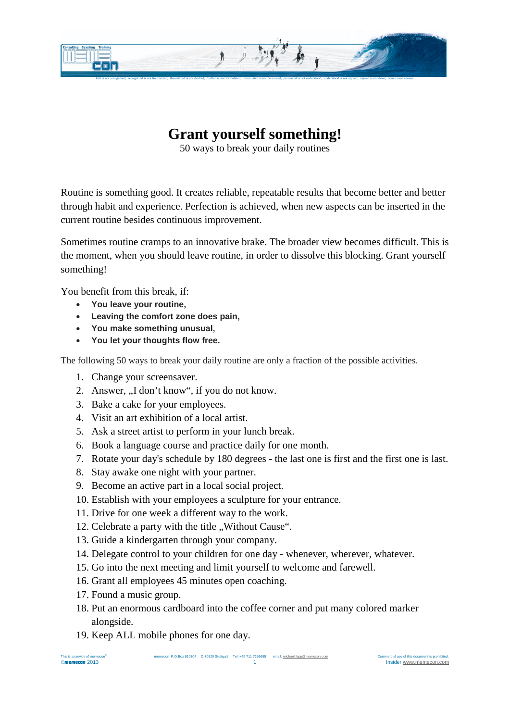

## **Grant yourself something!**

50 ways to break your daily routines

Routine is something good. It creates reliable, repeatable results that become better and better through habit and experience. Perfection is achieved, when new aspects can be inserted in the current routine besides continuous improvement.

Sometimes routine cramps to an innovative brake. The broader view becomes difficult. This is the moment, when you should leave routine, in order to dissolve this blocking. Grant yourself something!

You benefit from this break, if:

- **You leave your routine,**
- **Leaving the comfort zone does pain,**
- **You make something unusual,**
- **You let your thoughts flow free.**

The following 50 ways to break your daily routine are only a fraction of the possible activities.

- 1. Change your screensaver.
- 2. Answer, ...I don't know", if you do not know.
- 3. Bake a cake for your employees.
- 4. Visit an art exhibition of a local artist.
- 5. Ask a street artist to perform in your lunch break.
- 6. Book a language course and practice daily for one month.
- 7. Rotate your day's schedule by 180 degrees the last one is first and the first one is last.
- 8. Stay awake one night with your partner.
- 9. Become an active part in a local social project.
- 10. Establish with your employees a sculpture for your entrance.
- 11. Drive for one week a different way to the work.
- 12. Celebrate a party with the title "Without Cause".
- 13. Guide a kindergarten through your company.
- 14. Delegate control to your children for one day whenever, wherever, whatever.
- 15. Go into the next meeting and limit yourself to welcome and farewell.
- 16. Grant all employees 45 minutes open coaching.
- 17. Found a music group.
- 18. Put an enormous cardboard into the coffee corner and put many colored marker alongside.
- 19. Keep ALL mobile phones for one day.